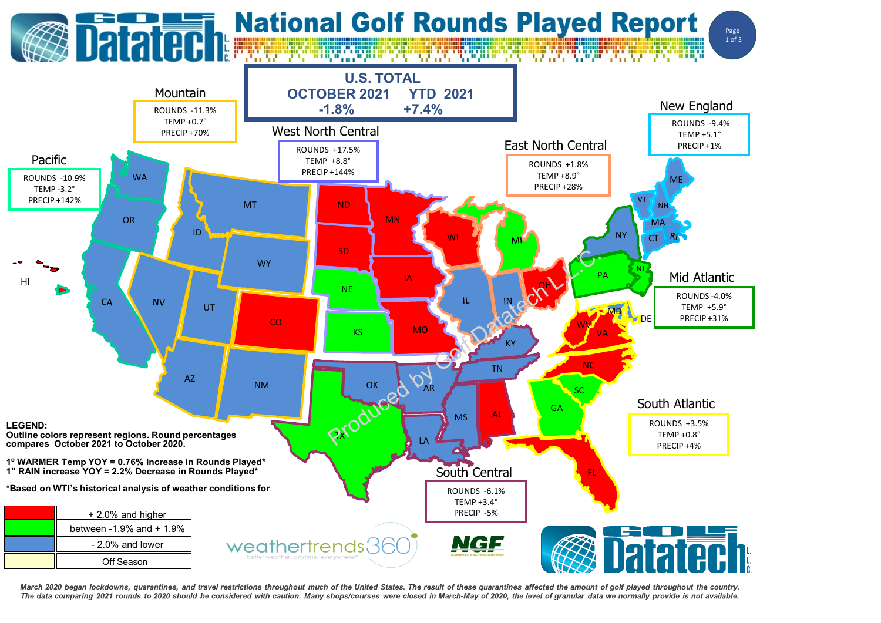

March 2020 began lockdowns, quarantines, and travel restrictions throughout much of the United States. The result of these quarantines affected the amount of golf played throughout the country. The data comparing 2021 rounds to 2020 should be considered with caution. Many shops/courses were closed in March-May of 2020, the level of granular data we normally provide is not available.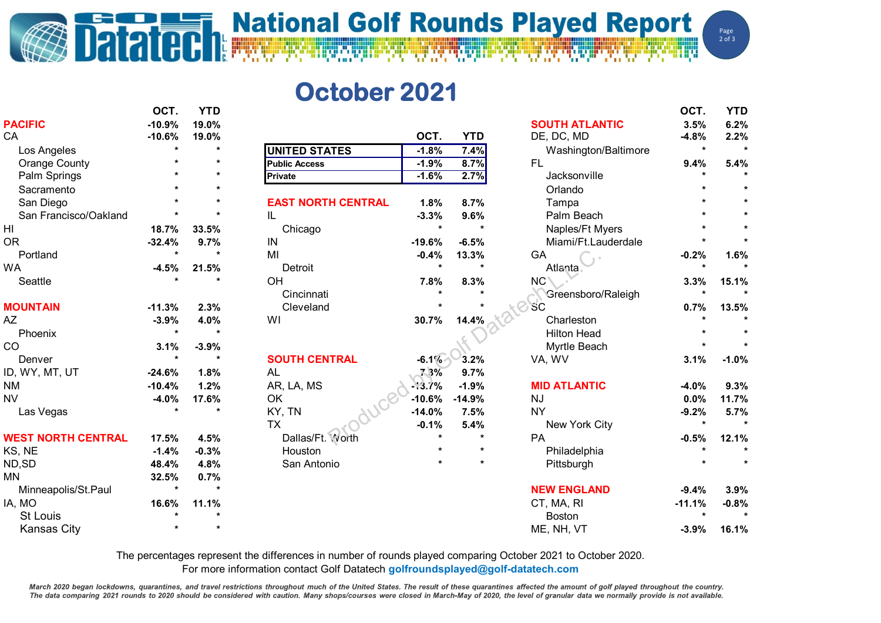## **Datated National Golf Rounds Played Report**

Page  $2$  of  $3$ 

## **October 2021**

|                           | OCT.     | YTD     |                           |          |            |                       | OCT.     | YTD     |
|---------------------------|----------|---------|---------------------------|----------|------------|-----------------------|----------|---------|
| <b>PACIFIC</b>            | $-10.9%$ | 19.0%   |                           |          |            | <b>SOUTH ATLANTIC</b> | 3.5%     | 6.2%    |
| CA                        | $-10.6%$ | 19.0%   |                           | OCT.     | <b>YTD</b> | DE, DC, MD            | $-4.8%$  | 2.2%    |
| Los Angeles               |          | $\star$ | <b>UNITED STATES</b>      | $-1.8%$  | 7.4%       | Washington/Baltimore  | $\star$  | $\star$ |
| <b>Orange County</b>      |          | $\star$ | <b>Public Access</b>      | $-1.9%$  | 8.7%       | FL.                   | 9.4%     | 5.4%    |
| Palm Springs              |          |         | <b>Private</b>            | $-1.6%$  | 2.7%       | Jacksonville          |          |         |
| Sacramento                |          |         |                           |          |            | Orlando               |          |         |
| San Diego                 |          |         | <b>EAST NORTH CENTRAL</b> | 1.8%     | 8.7%       | Tampa                 |          |         |
| San Francisco/Oakland     |          | $\star$ | IL                        | $-3.3%$  | 9.6%       | Palm Beach            |          |         |
| H <sub>l</sub>            | 18.7%    | 33.5%   | Chicago                   | $\star$  |            | Naples/Ft Myers       |          |         |
| <b>OR</b>                 | $-32.4%$ | 9.7%    | IN                        | $-19.6%$ | $-6.5%$    | Miami/Ft.Lauderdale   |          |         |
| Portland                  |          | $\star$ | MI                        | $-0.4%$  | 13.3%      | GA                    | $-0.2%$  | 1.6%    |
| <b>WA</b>                 | $-4.5%$  | 21.5%   | Detroit                   | $\star$  | $\star$    | Atlanta               | $\star$  |         |
| Seattle                   |          | $\star$ | OH                        | 7.8%     | 8.3%       | NC <sup>®</sup>       | 3.3%     | 15.1%   |
|                           |          |         | Cincinnati                |          |            | Greensboro/Raleigh    |          |         |
| <b>MOUNTAIN</b>           | $-11.3%$ | 2.3%    | Cleveland                 |          |            | <b>SC</b>             | 0.7%     | 13.5%   |
| AZ                        | $-3.9%$  | 4.0%    | WI                        | 30.7%    | 14.4%      | Charleston            |          |         |
| Phoenix                   | $\star$  | $\star$ |                           |          |            | <b>Hilton Head</b>    |          |         |
| CO                        | 3.1%     | $-3.9%$ |                           |          |            | Myrtle Beach          |          |         |
| Denver                    |          | $\star$ | <b>SOUTH CENTRAL</b>      | $-6.1%$  | 3.2%       | VA, WV                | 3.1%     | $-1.0%$ |
| ID, WY, MT, UT            | $-24.6%$ | 1.8%    | <b>AL</b>                 | 7.3%     | 9.7%       |                       |          |         |
| <b>NM</b>                 | $-10.4%$ | 1.2%    | AR, LA, MS                | $-13.7%$ | $-1.9%$    | <b>MID ATLANTIC</b>   | $-4.0%$  | 9.3%    |
| <b>NV</b>                 | $-4.0%$  | 17.6%   | OK                        | $-10.6%$ | $-14.9%$   | <b>NJ</b>             | 0.0%     | 11.7%   |
| Las Vegas                 |          | $\star$ | KY, TN                    | $-14.0%$ | 7.5%       | <b>NY</b>             | $-9.2%$  | 5.7%    |
|                           |          |         | <b>TX</b>                 | $-0.1%$  | 5.4%       | New York City         | $\star$  | $\star$ |
| <b>WEST NORTH CENTRAL</b> | 17.5%    | 4.5%    | Dallas/Ft. Yvorth         |          | $\star$    | PA                    | $-0.5%$  | 12.1%   |
| KS, NE                    | $-1.4%$  | $-0.3%$ | Houston                   |          | $\star$    | Philadelphia          |          |         |
| ND, SD                    | 48.4%    | 4.8%    | San Antonio               |          | $\star$    | Pittsburgh            |          |         |
| <b>MN</b>                 | 32.5%    | 0.7%    |                           |          |            |                       |          |         |
| Minneapolis/St.Paul       |          | $\star$ |                           |          |            | <b>NEW ENGLAND</b>    | $-9.4%$  | 3.9%    |
| IA, MO                    | 16.6%    | 11.1%   |                           |          |            | CT, MA, RI            | $-11.1%$ | $-0.8%$ |
| <b>St Louis</b>           |          | $\star$ |                           |          |            | Boston                |          |         |
| Kansas City               |          |         |                           |          |            | ME, NH, VT            | $-3.9%$  | 16.1%   |
|                           |          |         |                           |          |            |                       |          |         |

The percentages represent the differences in number of rounds played comparing October 2021 to October 2020.

For more information contact Golf Datatech **golfroundsplayed@golf-datatech.com** 

March 2020 began lockdowns, quarantines, and travel restrictions throughout much of the United States. The result of these quarantines affected the amount of golf played throughout the country. The data comparing 2021 rounds to 2020 should be considered with caution. Many shops/courses were closed in March-May of 2020, the level of granular data we normally provide is not available.